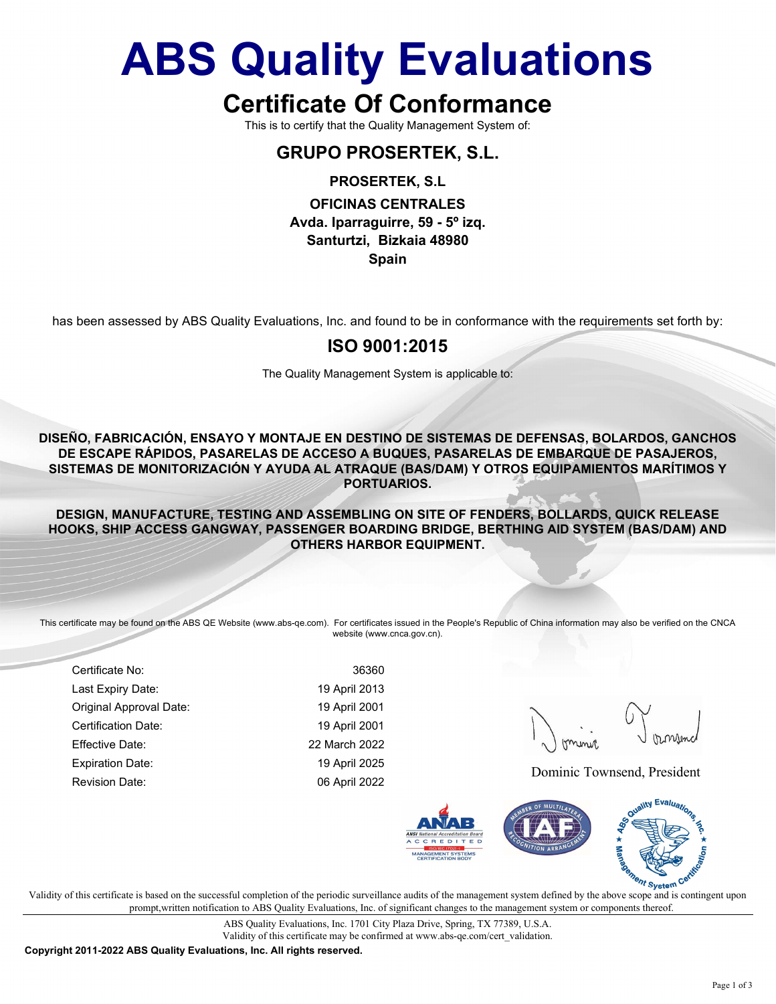## ABS Quality Evaluations

## Certificate Of Conformance

This is to certify that the Quality Management System of:

## GRUPO PROSERTEK, S.L.

#### PROSERTEK, S.L

#### OFICINAS CENTRALES Avda. Iparraguirre, 59 - 5º izq. Santurtzi, Bizkaia 48980 Spain

has been assessed by ABS Quality Evaluations, Inc. and found to be in conformance with the requirements set forth by:

#### ISO 9001:2015

The Quality Management System is applicable to:

DISEÑO, FABRICACIÓN, ENSAYO Y MONTAJE EN DESTINO DE SISTEMAS DE DEFENSAS, BOLARDOS, GANCHOS DE ESCAPE RÁPIDOS, PASARELAS DE ACCESO A BUQUES, PASARELAS DE EMBARQUE DE PASAJEROS, SISTEMAS DE MONITORIZACIÓN Y AYUDA AL ATRAQUE (BAS/DAM) Y OTROS EQUIPAMIENTOS MARÍTIMOS Y PORTUARIOS.

DESIGN, MANUFACTURE, TESTING AND ASSEMBLING ON SITE OF FENDERS, BOLLARDS, QUICK RELEASE HOOKS, SHIP ACCESS GANGWAY, PASSENGER BOARDING BRIDGE, BERTHING AID SYSTEM (BAS/DAM) AND OTHERS HARBOR EQUIPMENT.

This certificate may be found on the ABS QE Website (www.abs-qe.com). For certificates issued in the People's Republic of China information may also be verified on the CNCA website (www.cnca.gov.cn).

Certificate No: 36360 Last Expiry Date: 19 April 2013 Original Approval Date: 19 April 2001 Certification Date: 19 April 2001 Effective Date: 22 March 2022 Expiration Date: 19 April 2025 Revision Date: 06 April 2022 Dominic Townsend, President



 $\mathbf{v}$  validity of this certificate is based on the successful completion of the periodic surveillance audits of the management system defined by the above scope and is contingent upon V prompt,written notification to ABS Quality Evaluations, Inc. of significant changes to the management system or components thereof.

> ABS Quality Evaluations, Inc. 1701 City Plaza Drive, Spring, TX 77389, U.S.A. Validity of this certificate may be confirmed at www.abs-qe.com/cert\_validation.

Copyright 2011-2022 ABS Quality Evaluations, Inc. All rights reserved.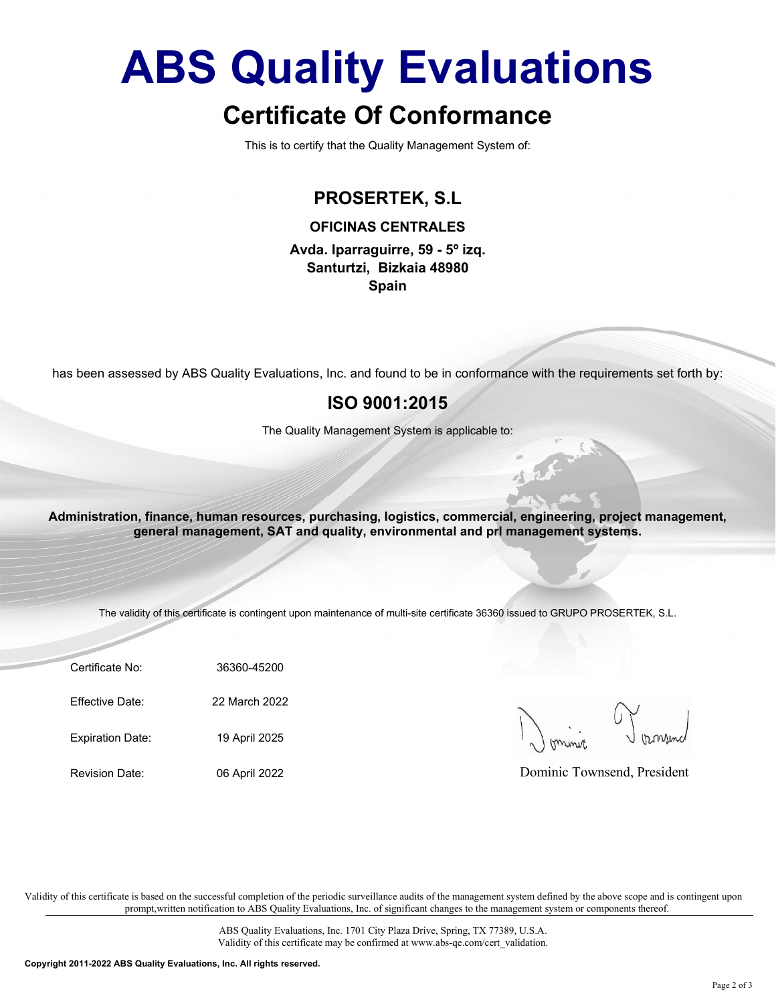# ABS Quality Evaluations

## Certificate Of Conformance

This is to certify that the Quality Management System of:

## PROSERTEK, S.L

OFICINAS CENTRALES

Avda. Iparraguirre, 59 - 5º izq. Santurtzi, Bizkaia 48980 Spain

has been assessed by ABS Quality Evaluations, Inc. and found to be in conformance with the requirements set forth by:

### ISO 9001:2015

The Quality Management System is applicable to:

been assessed by ABS Quality Evaluations, Inc. and found to be in conformance with the requirem<br>
ISO 9001:2015<br>
The Quality Management System is applicable to:<br>
ministration, finance, human resources, purchasing, logistics The Quality Management System is applicable to:<br>
Ininistration, finance, human resources, purchasing, logistics, commercial, engineering, proje<br>
general management, SAT and quality, environmental and pri management system<br> ministration, finance, human resources, purchasing, logistics, commercial, engineering, proje<br>
general management, SAT and quality, environmental and pri management system<br>
The validity of this certificate is contingent up Administration, finance, human resources, purchasing, logistics, commercial, engineering, project management, general management, SAT and quality, environmental and prl management systems.

The validity of this certificate is contingent upon maintenance of multi-site certificate 36360 issued to GRUPO PROSERTEK, S.L.

Certificate No: 36360-45200

Dominic Townsend, President

Validity of this certificate is based on the successful completion of the periodic surveillance audits of the management system defined by the above scope and is contingent upon prompt,written notification to ABS Quality Evaluations, Inc. of significant changes to the management system or components thereof.

> ABS Quality Evaluations, Inc. 1701 City Plaza Drive, Spring, TX 77389, U.S.A. Validity of this certificate may be confirmed at www.abs-qe.com/cert\_validation.